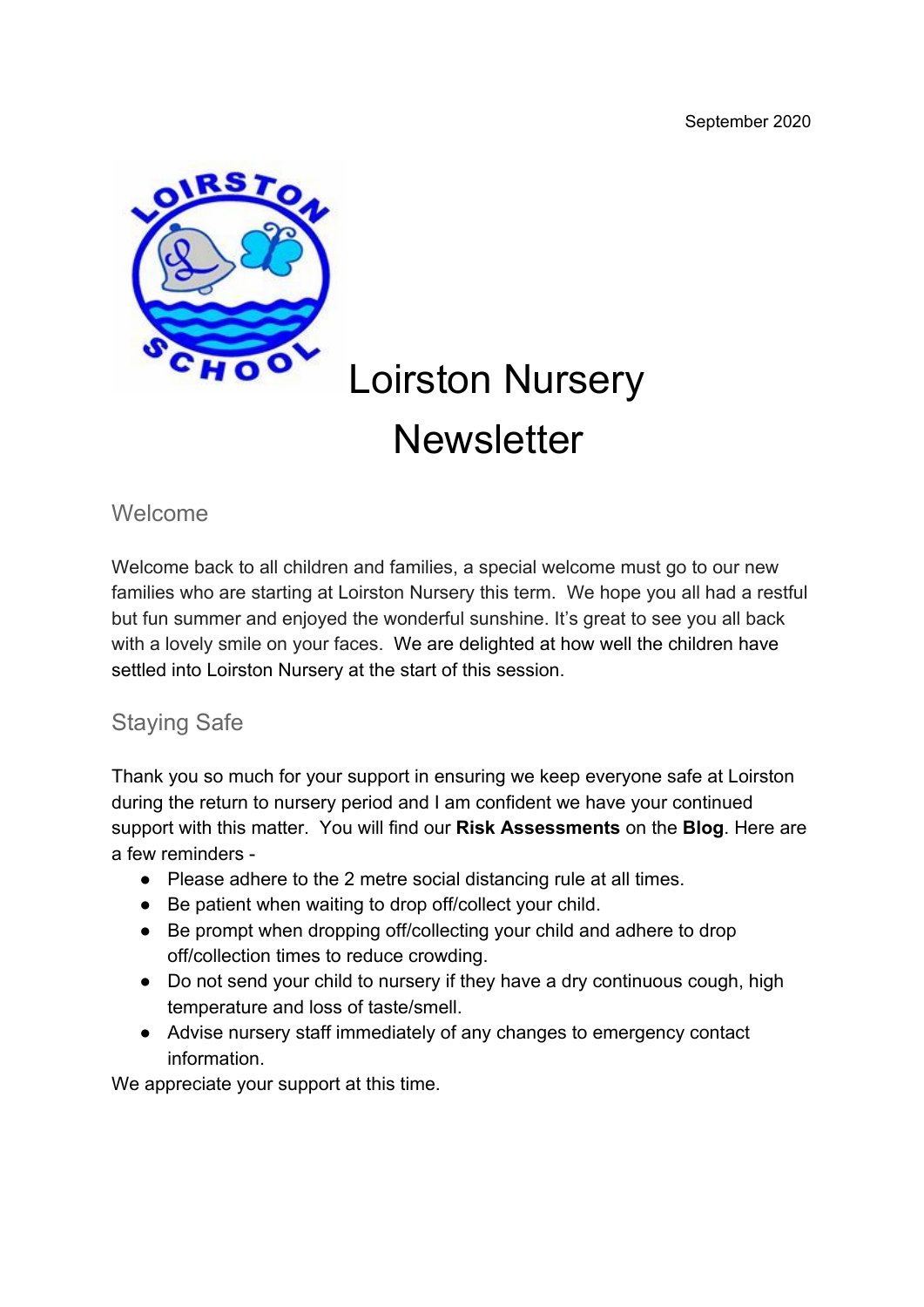

# Loirston Nursery **Newsletter**

#### Welcome

Welcome back to all children and families, a special welcome must go to our new families who are starting at Loirston Nursery this term. We hope you all had a restful but fun summer and enjoyed the wonderful sunshine. It's great to see you all back with a lovely smile on your faces. We are delighted at how well the children have settled into Loirston Nursery at the start of this session.

## Staying Safe

Thank you so much for your support in ensuring we keep everyone safe at Loirston during the return to nursery period and I am confident we have your continued support with this matter. You will find our **Risk Assessments** on the **Blog**. Here are a few reminders -

- Please adhere to the 2 metre social distancing rule at all times.
- Be patient when waiting to drop off/collect your child.
- Be prompt when dropping off/collecting your child and adhere to drop off/collection times to reduce crowding.
- Do not send your child to nursery if they have a dry continuous cough, high temperature and loss of taste/smell.
- Advise nursery staff immediately of any changes to emergency contact information.

We appreciate your support at this time.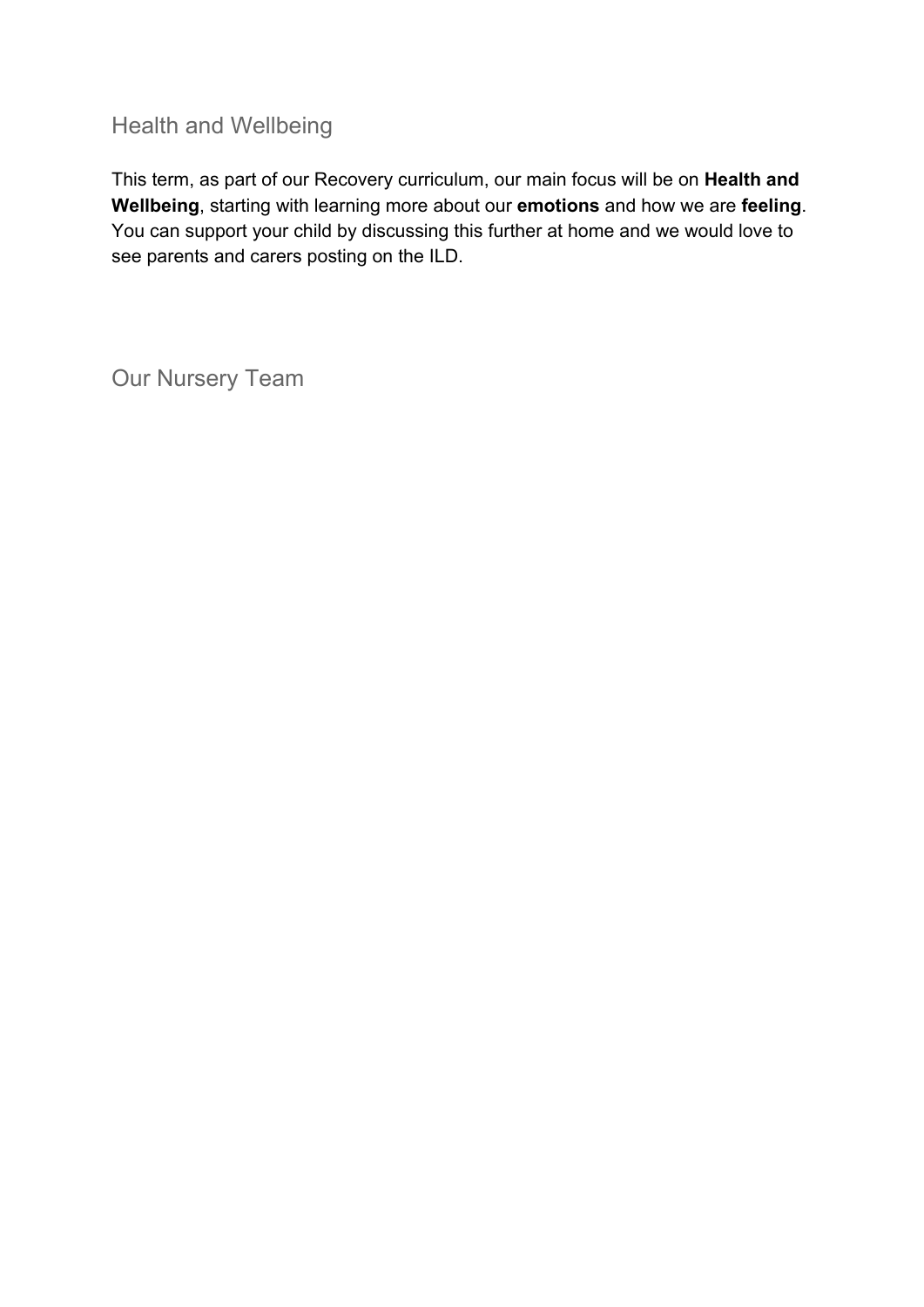# Health and Wellbeing

This term, as part of our Recovery curriculum, our main focus will be on **Health and Wellbeing**, starting with learning more about our **emotions** and how we are **feeling**. You can support your child by discussing this further at home and we would love to see parents and carers posting on the ILD.

Our Nursery Team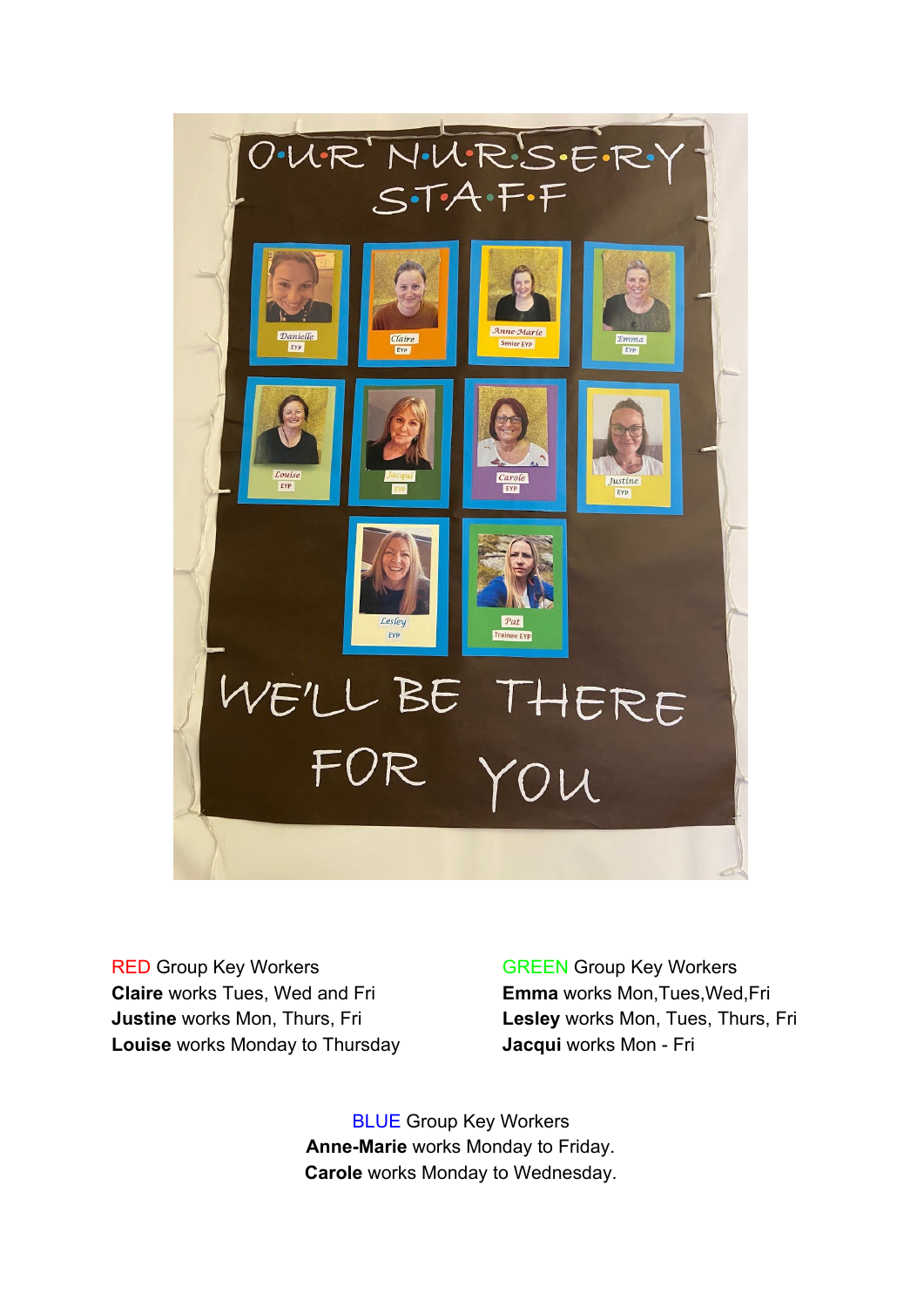

RED Group Key Workers GREEN Group Key Workers **Claire** works Tues, Wed and Fri **Emma** works Mon,Tues,Wed,Fri **Louise** works Monday to Thursday **Jacqui** works Mon - Fri

**Justine** works Mon, Thurs, Fri **Lesley** works Mon, Tues, Thurs, Fri

BLUE Group Key Workers **Anne-Marie** works Monday to Friday. **Carole** works Monday to Wednesday.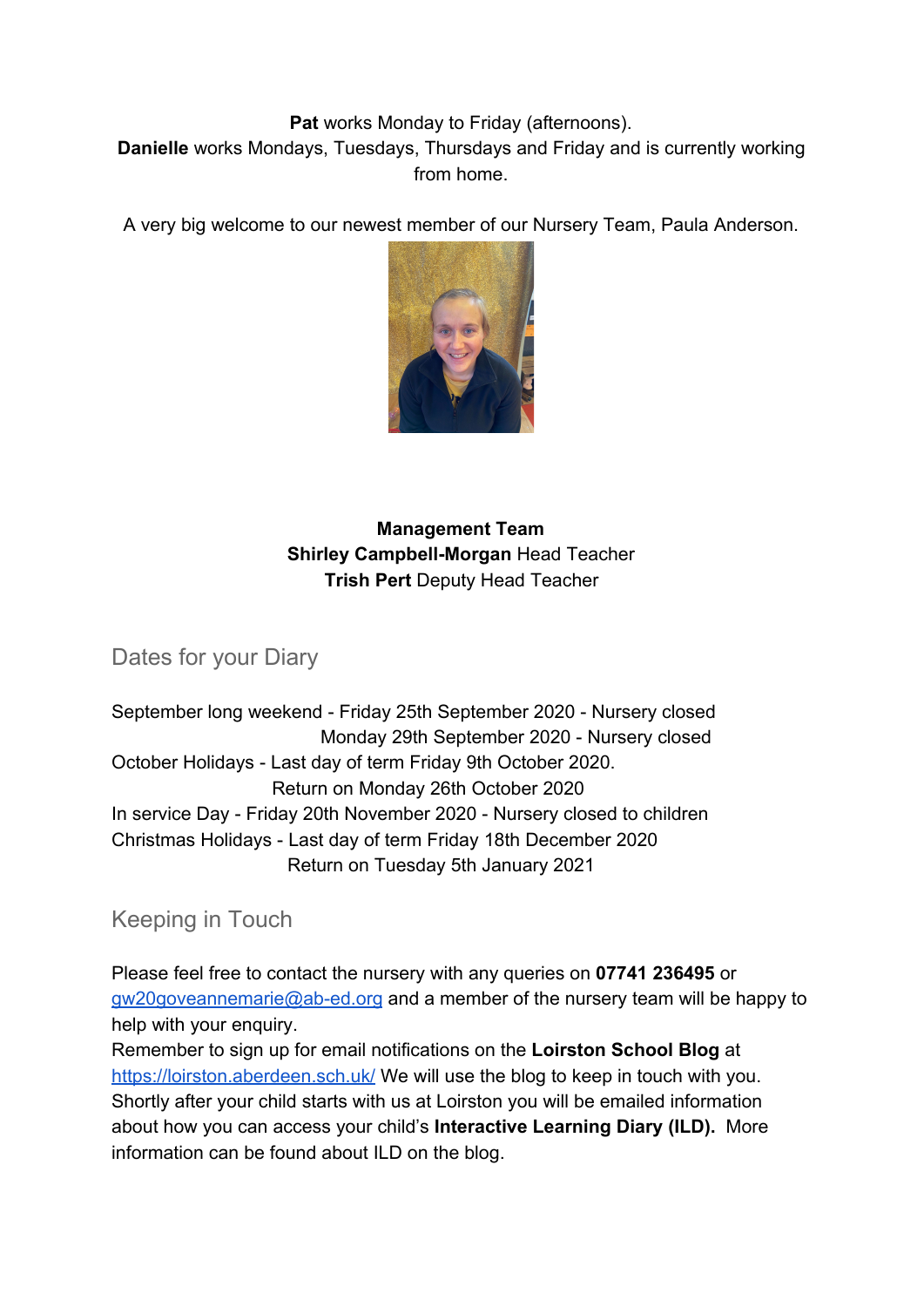#### **Pat** works Monday to Friday (afternoons).

**Danielle** works Mondays, Tuesdays, Thursdays and Friday and is currently working from home.

A very big welcome to our newest member of our Nursery Team, Paula Anderson.



#### **Management Team Shirley Campbell-Morgan** Head Teacher **Trish Pert** Deputy Head Teacher

Dates for your Diary

September long weekend - Friday 25th September 2020 - Nursery closed Monday 29th September 2020 - Nursery closed October Holidays - Last day of term Friday 9th October 2020. Return on Monday 26th October 2020 In service Day - Friday 20th November 2020 - Nursery closed to children Christmas Holidays - Last day of term Friday 18th December 2020 Return on Tuesday 5th January 2021

Keeping in Touch

Please feel free to contact the nursery with any queries on **07741 236495** or [gw20goveannemarie@ab-ed.org](mailto:gw20goveannemarie@ab-ed.org) and a member of the nursery team will be happy to help with your enquiry.

Remember to sign up for email notifications on the **Loirston School Blog** at <https://loirston.aberdeen.sch.uk/> We will use the blog to keep in touch with you. Shortly after your child starts with us at Loirston you will be emailed information about how you can access your child's **Interactive Learning Diary (ILD).** More information can be found about ILD on the blog.